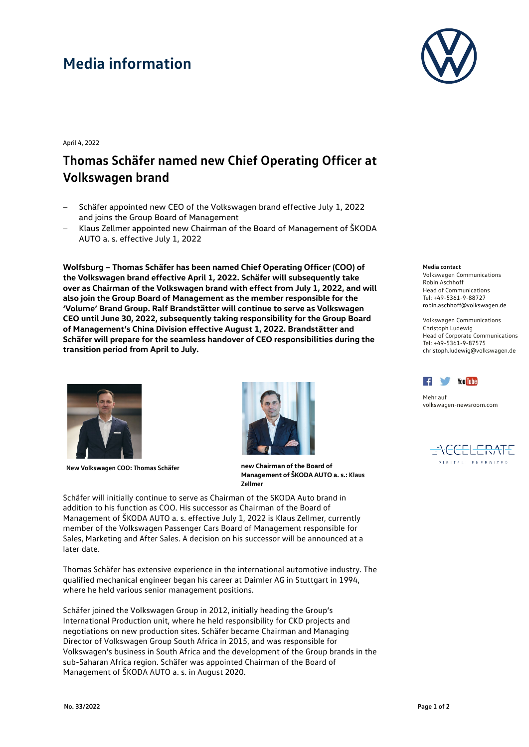## **Media information**



April 4, 2022

## **Thomas Schäfer named new Chief Operating Officer at Volkswagen brand**

- − Schäfer appointed new CEO of the Volkswagen brand effective July 1, 2022 and joins the Group Board of Management
- − Klaus Zellmer appointed new Chairman of the Board of Management of ŠKODA AUTO a. s. effective July 1, 2022

**Wolfsburg – Thomas Schäfer has been named Chief Operating Officer (COO) of the Volkswagen brand effective April 1, 2022. Schäfer will subsequently take over as Chairman of the Volkswagen brand with effect from July 1, 2022, and will also join the Group Board of Management as the member responsible for the 'Volume' Brand Group. Ralf Brandstätter will continue to serve as Volkswagen CEO until June 30, 2022, subsequently taking responsibility for the Group Board of Management's China Division effective August 1, 2022. Brandstätter and Schäfer will prepare for the seamless handover of CEO responsibilities during the transition period from April to July.** 





**New Volkswagen COO: Thomas Schäfer new Chairman of the Board of Management of ŠKODA AUTO a. s.: Klaus Zellmer**

Schäfer will initially continue to serve as Chairman of the ŠKODA Auto brand in addition to his function as COO. His successor as Chairman of the Board of Management of ŠKODA AUTO a. s. effective July 1, 2022 is Klaus Zellmer, currently member of the Volkswagen Passenger Cars Board of Management responsible for Sales, Marketing and After Sales. A decision on his successor will be announced at a later date.

Thomas Schäfer has extensive experience in the international automotive industry. The qualified mechanical engineer began his career at Daimler AG in Stuttgart in 1994, where he held various senior management positions.

Schäfer joined the Volkswagen Group in 2012, initially heading the Group's International Production unit, where he held responsibility for CKD projects and negotiations on new production sites. Schäfer became Chairman and Managing Director of Volkswagen Group South Africa in 2015, and was responsible for Volkswagen's business in South Africa and the development of the Group brands in the sub-Saharan Africa region. Schäfer was appointed Chairman of the Board of Management of ŠKODA AUTO a. s. in August 2020.

## **Media contact**

Volkswagen Communications Robin Aschhoff Head of Communications Tel: +49-5361-9-88727 robin.aschhoff@volkswagen.de

Volkswagen Communications Christoph Ludewig Head of Corporate Communications Tel: +49-5361-9-87575 christoph.ludewi[g@volkswagen.de](mailto:Name@volkswagen.de)



Mehr auf [volkswagen-newsroom.com](https://www.volkswagen-media-services.com/)